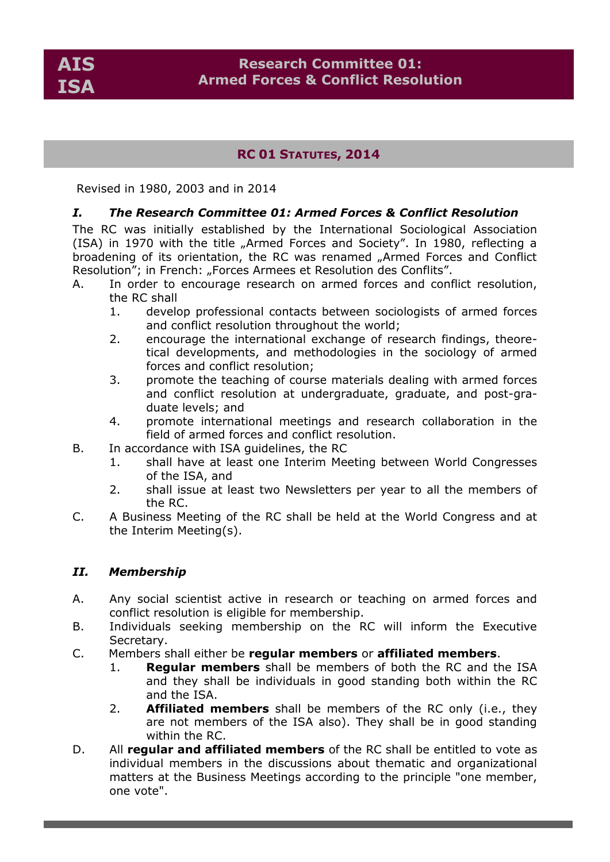# **RC 01 STATUTES, 2014**

Revised in 1980, 2003 and in 2014

### *I. The Research Committee 01: Armed Forces & Conflict Resolution*

The RC was initially established by the International Sociological Association (ISA) in 1970 with the title "Armed Forces and Society". In 1980, reflecting a broadening of its orientation, the RC was renamed "Armed Forces and Conflict Resolution"; in French: "Forces Armees et Resolution des Conflits".

- A. In order to encourage research on armed forces and conflict resolution, the RC shall
	- 1. develop professional contacts between sociologists of armed forces and conflict resolution throughout the world;
	- 2. encourage the international exchange of research findings, theoretical developments, and methodologies in the sociology of armed forces and conflict resolution;
	- 3. promote the teaching of course materials dealing with armed forces and conflict resolution at undergraduate, graduate, and post-graduate levels; and
	- 4. promote international meetings and research collaboration in the field of armed forces and conflict resolution.
- B. In accordance with ISA guidelines, the RC
	- 1. shall have at least one Interim Meeting between World Congresses of the ISA, and
	- 2. shall issue at least two Newsletters per year to all the members of the RC.
- C. A Business Meeting of the RC shall be held at the World Congress and at the Interim Meeting(s).

### *II. Membership*

- A. Any social scientist active in research or teaching on armed forces and conflict resolution is eligible for membership.
- B. Individuals seeking membership on the RC will inform the Executive Secretary.
- C. Members shall either be **regular members** or **affiliated members**.
	- 1. **Regular members** shall be members of both the RC and the ISA and they shall be individuals in good standing both within the RC and the ISA.
	- 2. **Affiliated members** shall be members of the RC only (i.e., they are not members of the ISA also). They shall be in good standing within the RC.
- D. All **regular and affiliated members** of the RC shall be entitled to vote as individual members in the discussions about thematic and organizational matters at the Business Meetings according to the principle "one member, one vote".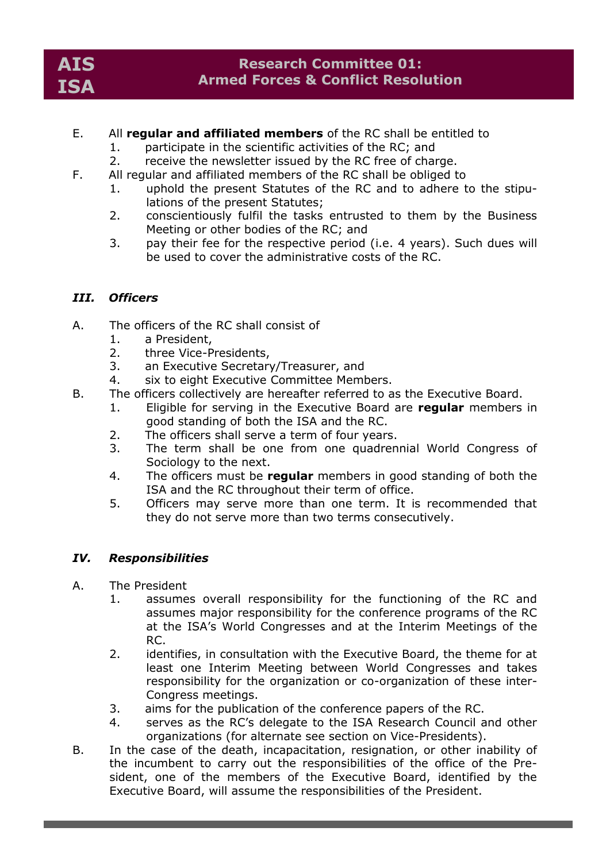- E. All **regular and affiliated members** of the RC shall be entitled to
	- 1. participate in the scientific activities of the RC; and
	- 2. receive the newsletter issued by the RC free of charge.
- F. All regular and affiliated members of the RC shall be obliged to
	- 1. uphold the present Statutes of the RC and to adhere to the stipulations of the present Statutes;
	- 2. conscientiously fulfil the tasks entrusted to them by the Business Meeting or other bodies of the RC; and
	- 3. pay their fee for the respective period (i.e. 4 years). Such dues will be used to cover the administrative costs of the RC.

# *III. Officers*

- A. The officers of the RC shall consist of
	- 1. a President,
	- 2. three Vice-Presidents,
	- 3. an Executive Secretary/Treasurer, and
	- 4. six to eight Executive Committee Members.
- B. The officers collectively are hereafter referred to as the Executive Board.
	- 1. Eligible for serving in the Executive Board are **regular** members in good standing of both the ISA and the RC.
	- 2. The officers shall serve a term of four years.
	- 3. The term shall be one from one quadrennial World Congress of Sociology to the next.
	- 4. The officers must be **regular** members in good standing of both the ISA and the RC throughout their term of office.
	- 5. Officers may serve more than one term. It is recommended that they do not serve more than two terms consecutively.

### *IV. Responsibilities*

- A. The President
	- 1. assumes overall responsibility for the functioning of the RC and assumes major responsibility for the conference programs of the RC at the ISA's World Congresses and at the Interim Meetings of the RC.
	- 2. identifies, in consultation with the Executive Board, the theme for at least one Interim Meeting between World Congresses and takes responsibility for the organization or co-organization of these inter-Congress meetings.
	- 3. aims for the publication of the conference papers of the RC.
	- 4. serves as the RC's delegate to the ISA Research Council and other organizations (for alternate see section on Vice-Presidents).
- B. In the case of the death, incapacitation, resignation, or other inability of the incumbent to carry out the responsibilities of the office of the President, one of the members of the Executive Board, identified by the Executive Board, will assume the responsibilities of the President.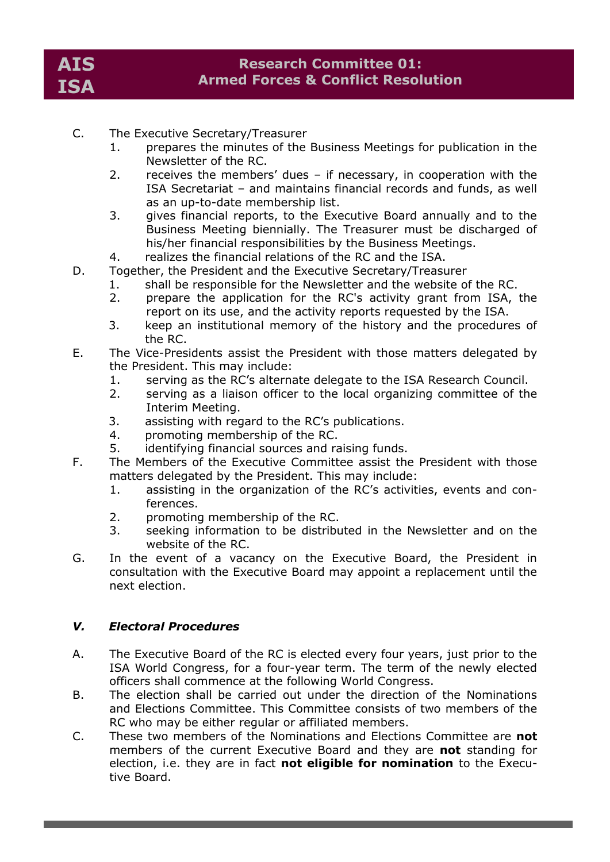- C. The Executive Secretary/Treasurer
	- 1. prepares the minutes of the Business Meetings for publication in the Newsletter of the RC.
	- 2. receives the members' dues if necessary, in cooperation with the ISA Secretariat – and maintains financial records and funds, as well as an up-to-date membership list.
	- 3. gives financial reports, to the Executive Board annually and to the Business Meeting biennially. The Treasurer must be discharged of his/her financial responsibilities by the Business Meetings.
	- 4. realizes the financial relations of the RC and the ISA.
- D. Together, the President and the Executive Secretary/Treasurer
	- 1. shall be responsible for the Newsletter and the website of the RC.
	- 2. prepare the application for the RC's activity grant from ISA, the report on its use, and the activity reports requested by the ISA.
	- 3. keep an institutional memory of the history and the procedures of the RC.
- E. The Vice-Presidents assist the President with those matters delegated by the President. This may include:
	- 1. serving as the RC's alternate delegate to the ISA Research Council.
	- 2. serving as a liaison officer to the local organizing committee of the Interim Meeting.
	- 3. assisting with regard to the RC's publications.
	- 4. promoting membership of the RC.
	- 5. identifying financial sources and raising funds.
- F. The Members of the Executive Committee assist the President with those matters delegated by the President. This may include:
	- 1. assisting in the organization of the RC's activities, events and conferences.
	- 2. promoting membership of the RC.
	- 3. seeking information to be distributed in the Newsletter and on the website of the RC.
- G. In the event of a vacancy on the Executive Board, the President in consultation with the Executive Board may appoint a replacement until the next election.

#### *V. Electoral Procedures*

- A. The Executive Board of the RC is elected every four years, just prior to the ISA World Congress, for a four-year term. The term of the newly elected officers shall commence at the following World Congress.
- B. The election shall be carried out under the direction of the Nominations and Elections Committee. This Committee consists of two members of the RC who may be either regular or affiliated members.
- C. These two members of the Nominations and Elections Committee are **not** members of the current Executive Board and they are **not** standing for election, i.e. they are in fact **not eligible for nomination** to the Executive Board.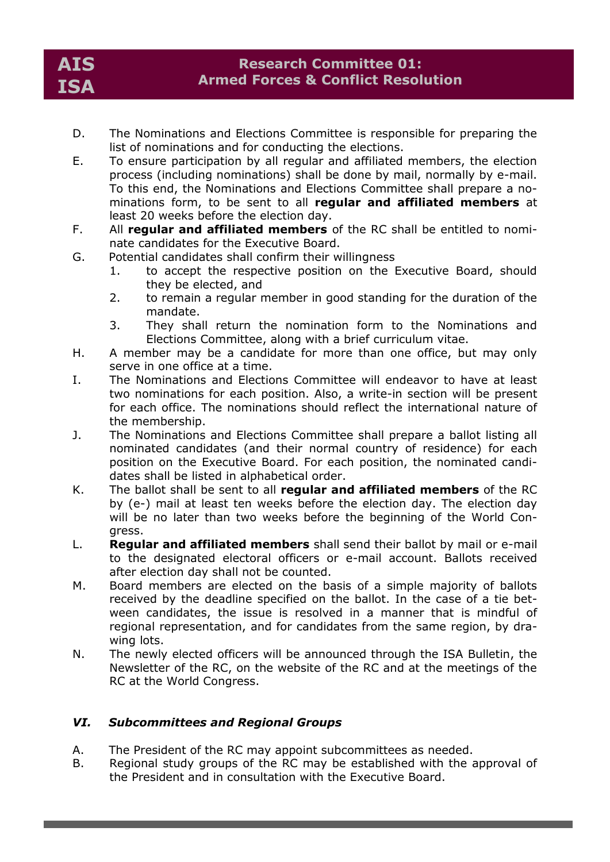- D. The Nominations and Elections Committee is responsible for preparing the list of nominations and for conducting the elections.
- E. To ensure participation by all regular and affiliated members, the election process (including nominations) shall be done by mail, normally by e-mail. To this end, the Nominations and Elections Committee shall prepare a nominations form, to be sent to all **regular and affiliated members** at least 20 weeks before the election day.
- F. All **regular and affiliated members** of the RC shall be entitled to nominate candidates for the Executive Board.
- G. Potential candidates shall confirm their willingness
	- 1. to accept the respective position on the Executive Board, should they be elected, and
	- 2. to remain a regular member in good standing for the duration of the mandate.
	- 3. They shall return the nomination form to the Nominations and Elections Committee, along with a brief curriculum vitae.
- H. A member may be a candidate for more than one office, but may only serve in one office at a time.
- I. The Nominations and Elections Committee will endeavor to have at least two nominations for each position. Also, a write-in section will be present for each office. The nominations should reflect the international nature of the membership.
- J. The Nominations and Elections Committee shall prepare a ballot listing all nominated candidates (and their normal country of residence) for each position on the Executive Board. For each position, the nominated candidates shall be listed in alphabetical order.
- K. The ballot shall be sent to all **regular and affiliated members** of the RC by (e-) mail at least ten weeks before the election day. The election day will be no later than two weeks before the beginning of the World Congress.
- L. **Regular and affiliated members** shall send their ballot by mail or e-mail to the designated electoral officers or e-mail account. Ballots received after election day shall not be counted.
- M. Board members are elected on the basis of a simple majority of ballots received by the deadline specified on the ballot. In the case of a tie between candidates, the issue is resolved in a manner that is mindful of regional representation, and for candidates from the same region, by drawing lots.
- N. The newly elected officers will be announced through the ISA Bulletin, the Newsletter of the RC, on the website of the RC and at the meetings of the RC at the World Congress.

# *VI. Subcommittees and Regional Groups*

- A. The President of the RC may appoint subcommittees as needed.
- B. Regional study groups of the RC may be established with the approval of the President and in consultation with the Executive Board.